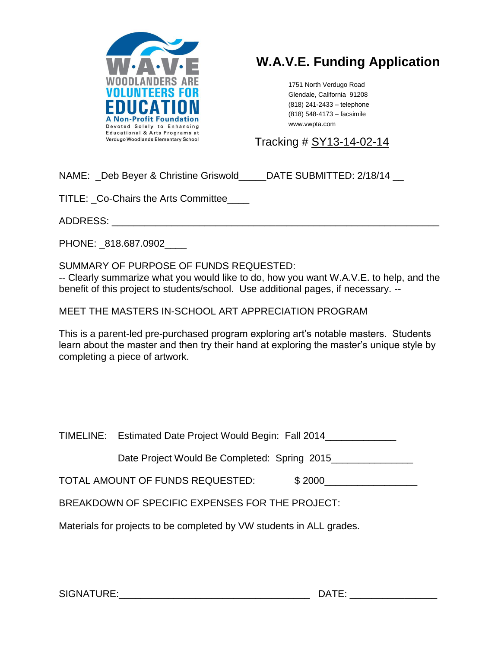

# **W.A.V.E. Funding Application**

1751 North Verdugo Road Glendale, California 91208 (818) 241-2433 – telephone (818) 548-4173 – facsimile www.vwpta.com

Tracking # SY13-14-02-14

NAME: Deb Beyer & Christine Griswold DATE SUBMITTED: 2/18/14

TITLE: \_Co-Chairs the Arts Committee\_\_\_\_

ADDRESS: \_\_\_\_\_\_\_\_\_\_\_\_\_\_\_\_\_\_\_\_\_\_\_\_\_\_\_\_\_\_\_\_\_\_\_\_\_\_\_\_\_\_\_\_\_\_\_\_\_\_\_\_\_\_\_\_\_\_\_\_

PHONE: 818.687.0902

SUMMARY OF PURPOSE OF FUNDS REQUESTED:

-- Clearly summarize what you would like to do, how you want W.A.V.E. to help, and the benefit of this project to students/school. Use additional pages, if necessary. --

MEET THE MASTERS IN-SCHOOL ART APPRECIATION PROGRAM

This is a parent-led pre-purchased program exploring art's notable masters. Students learn about the master and then try their hand at exploring the master's unique style by completing a piece of artwork.

|                                                                      | TIMELINE: Estimated Date Project Would Begin: Fall 2014 |        |
|----------------------------------------------------------------------|---------------------------------------------------------|--------|
|                                                                      | Date Project Would Be Completed: Spring 2015            |        |
|                                                                      | TOTAL AMOUNT OF FUNDS REQUESTED:                        | \$2000 |
| BREAKDOWN OF SPECIFIC EXPENSES FOR THE PROJECT:                      |                                                         |        |
| Materials for projects to be completed by VW students in ALL grades. |                                                         |        |

SIGNATURE:\_\_\_\_\_\_\_\_\_\_\_\_\_\_\_\_\_\_\_\_\_\_\_\_\_\_\_\_\_\_\_\_\_\_\_ DATE: \_\_\_\_\_\_\_\_\_\_\_\_\_\_\_\_